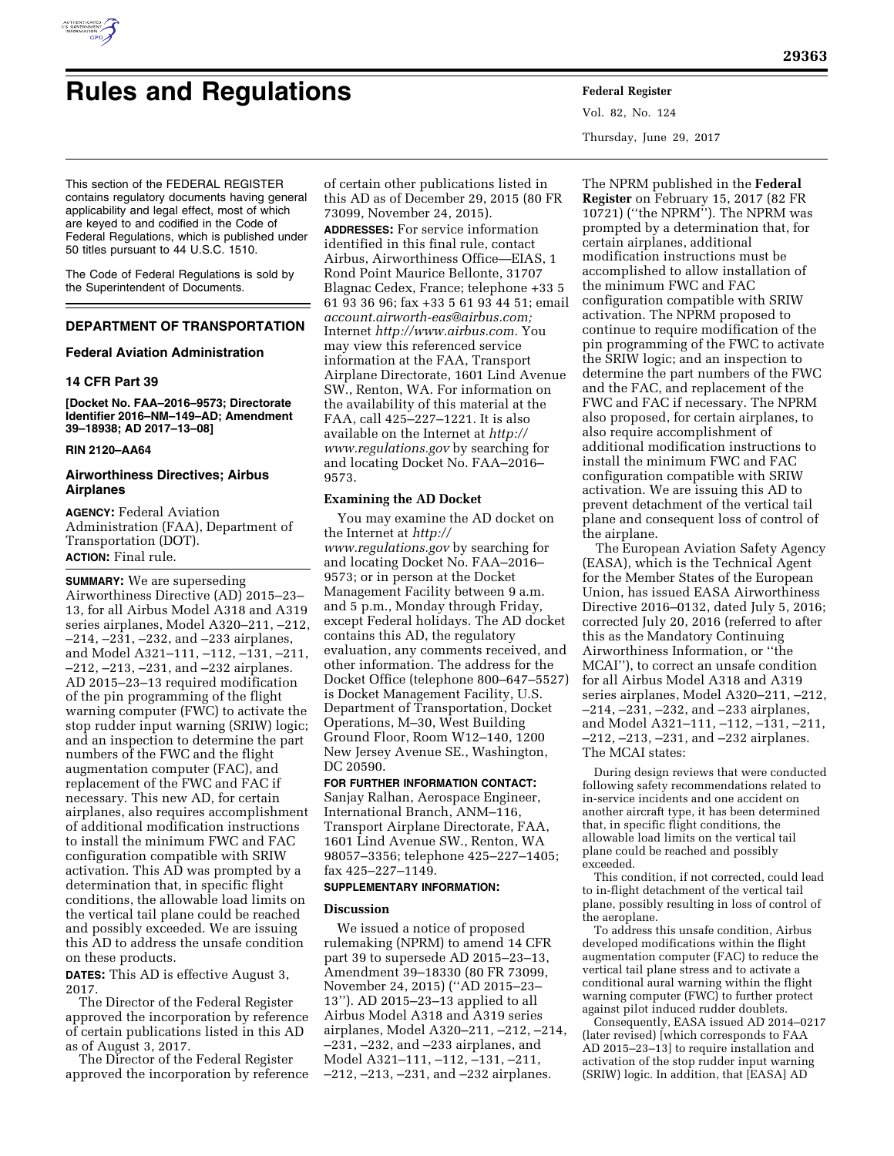

# **Rules and Regulations Federal Register**

Vol. 82, No. 124 Thursday, June 29, 2017

This section of the FEDERAL REGISTER contains regulatory documents having general applicability and legal effect, most of which are keyed to and codified in the Code of Federal Regulations, which is published under 50 titles pursuant to 44 U.S.C. 1510.

The Code of Federal Regulations is sold by the Superintendent of Documents.

# **DEPARTMENT OF TRANSPORTATION**

# **Federal Aviation Administration**

# **14 CFR Part 39**

**[Docket No. FAA–2016–9573; Directorate Identifier 2016–NM–149–AD; Amendment 39–18938; AD 2017–13–08]** 

# **RIN 2120–AA64**

# **Airworthiness Directives; Airbus Airplanes**

**AGENCY:** Federal Aviation Administration (FAA), Department of Transportation (DOT). **ACTION:** Final rule.

**SUMMARY:** We are superseding Airworthiness Directive (AD) 2015–23– 13, for all Airbus Model A318 and A319 series airplanes, Model A320–211, –212, –214, –231, –232, and –233 airplanes, and Model A321–111, –112, –131, –211, –212, –213, –231, and –232 airplanes. AD 2015–23–13 required modification of the pin programming of the flight warning computer (FWC) to activate the stop rudder input warning (SRIW) logic; and an inspection to determine the part numbers of the FWC and the flight augmentation computer (FAC), and replacement of the FWC and FAC if necessary. This new AD, for certain airplanes, also requires accomplishment of additional modification instructions to install the minimum FWC and FAC configuration compatible with SRIW activation. This AD was prompted by a determination that, in specific flight conditions, the allowable load limits on the vertical tail plane could be reached and possibly exceeded. We are issuing this AD to address the unsafe condition on these products.

**DATES:** This AD is effective August 3, 2017.

The Director of the Federal Register approved the incorporation by reference of certain publications listed in this AD as of August 3, 2017.

The Director of the Federal Register approved the incorporation by reference

of certain other publications listed in this AD as of December 29, 2015 (80 FR 73099, November 24, 2015). **ADDRESSES:** For service information identified in this final rule, contact Airbus, Airworthiness Office—EIAS, 1 Rond Point Maurice Bellonte, 31707 Blagnac Cedex, France; telephone +33 5 61 93 36 96; fax +33 5 61 93 44 51; email *[account.airworth-eas@airbus.com;](mailto:account.airworth-eas@airbus.com)*  Internet *[http://www.airbus.com.](http://www.airbus.com)* You may view this referenced service information at the FAA, Transport Airplane Directorate, 1601 Lind Avenue SW., Renton, WA. For information on the availability of this material at the FAA, call 425–227–1221. It is also available on the Internet at *[http://](http://www.regulations.gov) [www.regulations.gov](http://www.regulations.gov)* by searching for and locating Docket No. FAA–2016– 9573.

# **Examining the AD Docket**

You may examine the AD docket on the Internet at *[http://](http://www.regulations.gov) [www.regulations.gov](http://www.regulations.gov)* by searching for and locating Docket No. FAA–2016– 9573; or in person at the Docket Management Facility between 9 a.m. and 5 p.m., Monday through Friday, except Federal holidays. The AD docket contains this AD, the regulatory evaluation, any comments received, and other information. The address for the Docket Office (telephone 800–647–5527) is Docket Management Facility, U.S. Department of Transportation, Docket Operations, M–30, West Building Ground Floor, Room W12–140, 1200 New Jersey Avenue SE., Washington, DC 20590.

# **FOR FURTHER INFORMATION CONTACT:**

Sanjay Ralhan, Aerospace Engineer, International Branch, ANM–116, Transport Airplane Directorate, FAA, 1601 Lind Avenue SW., Renton, WA 98057–3356; telephone 425–227–1405; fax 425–227–1149.

#### **SUPPLEMENTARY INFORMATION:**

## **Discussion**

We issued a notice of proposed rulemaking (NPRM) to amend 14 CFR part 39 to supersede AD 2015–23–13, Amendment 39–18330 (80 FR 73099, November 24, 2015) (''AD 2015–23– 13''). AD 2015–23–13 applied to all Airbus Model A318 and A319 series airplanes, Model A320–211, –212, –214, –231, –232, and –233 airplanes, and Model A321–111, –112, –131, –211, –212, –213, –231, and –232 airplanes.

The NPRM published in the **Federal Register** on February 15, 2017 (82 FR 10721) (''the NPRM''). The NPRM was prompted by a determination that, for certain airplanes, additional modification instructions must be accomplished to allow installation of the minimum FWC and FAC configuration compatible with SRIW activation. The NPRM proposed to continue to require modification of the pin programming of the FWC to activate the SRIW logic; and an inspection to determine the part numbers of the FWC and the FAC, and replacement of the FWC and FAC if necessary. The NPRM also proposed, for certain airplanes, to also require accomplishment of additional modification instructions to install the minimum FWC and FAC configuration compatible with SRIW activation. We are issuing this AD to prevent detachment of the vertical tail plane and consequent loss of control of the airplane.

The European Aviation Safety Agency (EASA), which is the Technical Agent for the Member States of the European Union, has issued EASA Airworthiness Directive 2016–0132, dated July 5, 2016; corrected July 20, 2016 (referred to after this as the Mandatory Continuing Airworthiness Information, or ''the MCAI''), to correct an unsafe condition for all Airbus Model A318 and A319 series airplanes, Model A320–211, –212, –214, –231, –232, and –233 airplanes, and Model A321–111, –112, –131, –211, –212, –213, –231, and –232 airplanes. The MCAI states:

During design reviews that were conducted following safety recommendations related to in-service incidents and one accident on another aircraft type, it has been determined that, in specific flight conditions, the allowable load limits on the vertical tail plane could be reached and possibly exceeded.

This condition, if not corrected, could lead to in-flight detachment of the vertical tail plane, possibly resulting in loss of control of the aeroplane.

To address this unsafe condition, Airbus developed modifications within the flight augmentation computer (FAC) to reduce the vertical tail plane stress and to activate a conditional aural warning within the flight warning computer (FWC) to further protect against pilot induced rudder doublets.

Consequently, EASA issued AD 2014–0217 (later revised) [which corresponds to FAA AD 2015–23–13] to require installation and activation of the stop rudder input warning (SRIW) logic. In addition, that [EASA] AD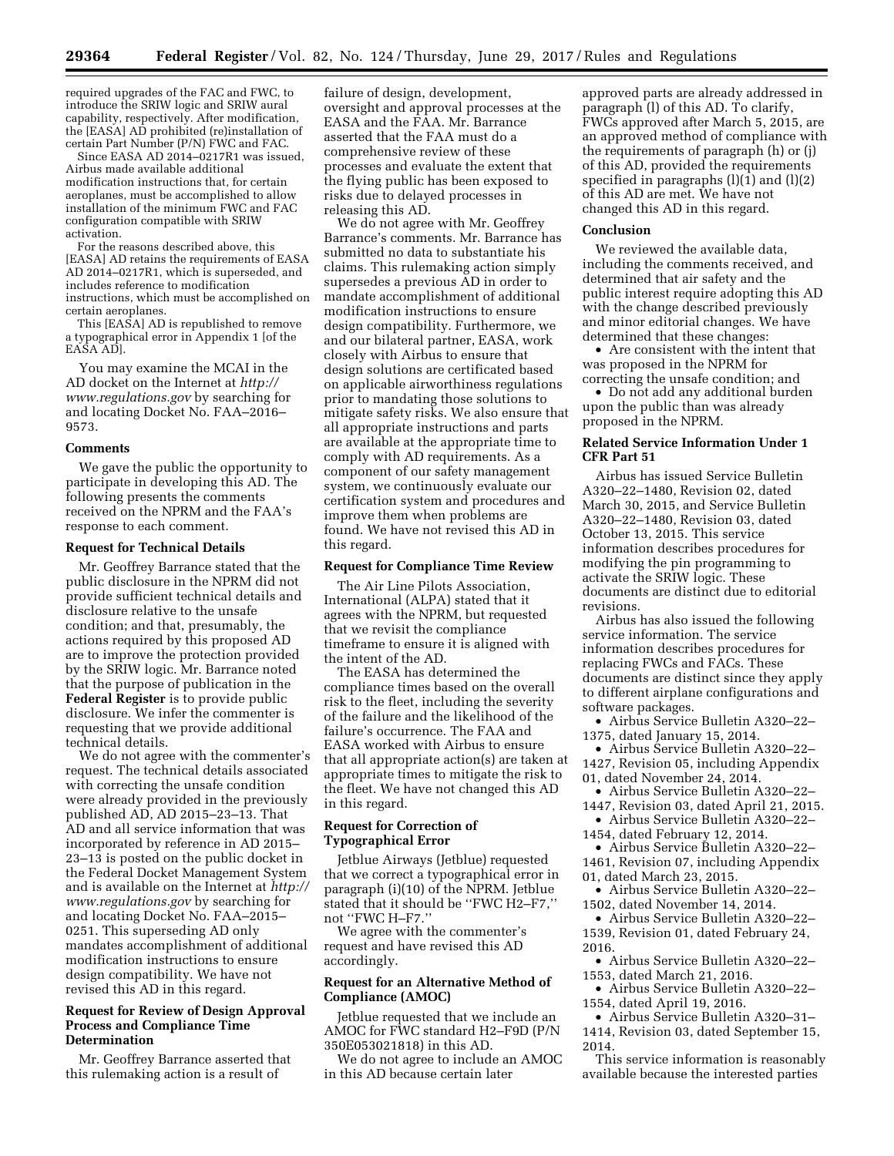required upgrades of the FAC and FWC, to introduce the SRIW logic and SRIW aural capability, respectively. After modification, the [EASA] AD prohibited (re)installation of certain Part Number (P/N) FWC and FAC.

Since EASA AD 2014–0217R1 was issued, Airbus made available additional modification instructions that, for certain aeroplanes, must be accomplished to allow installation of the minimum FWC and FAC configuration compatible with SRIW activation.

For the reasons described above, this [EASA] AD retains the requirements of EASA AD 2014–0217R1, which is superseded, and includes reference to modification instructions, which must be accomplished on certain aeroplanes.

This [EASA] AD is republished to remove a typographical error in Appendix 1 [of the EASA AD].

You may examine the MCAI in the AD docket on the Internet at *[http://](http://www.regulations.gov) [www.regulations.gov](http://www.regulations.gov)* by searching for and locating Docket No. FAA–2016– 9573.

#### **Comments**

We gave the public the opportunity to participate in developing this AD. The following presents the comments received on the NPRM and the FAA's response to each comment.

#### **Request for Technical Details**

Mr. Geoffrey Barrance stated that the public disclosure in the NPRM did not provide sufficient technical details and disclosure relative to the unsafe condition; and that, presumably, the actions required by this proposed AD are to improve the protection provided by the SRIW logic. Mr. Barrance noted that the purpose of publication in the **Federal Register** is to provide public disclosure. We infer the commenter is requesting that we provide additional technical details.

We do not agree with the commenter's request. The technical details associated with correcting the unsafe condition were already provided in the previously published AD, AD 2015–23–13. That AD and all service information that was incorporated by reference in AD 2015– 23–13 is posted on the public docket in the Federal Docket Management System and is available on the Internet at *[http://](http://www.regulations.gov)  [www.regulations.gov](http://www.regulations.gov)* by searching for and locating Docket No. FAA–2015– 0251. This superseding AD only mandates accomplishment of additional modification instructions to ensure design compatibility. We have not revised this AD in this regard.

# **Request for Review of Design Approval Process and Compliance Time Determination**

Mr. Geoffrey Barrance asserted that this rulemaking action is a result of

failure of design, development, oversight and approval processes at the EASA and the FAA. Mr. Barrance asserted that the FAA must do a comprehensive review of these processes and evaluate the extent that the flying public has been exposed to risks due to delayed processes in releasing this AD.

We do not agree with Mr. Geoffrey Barrance's comments. Mr. Barrance has submitted no data to substantiate his claims. This rulemaking action simply supersedes a previous AD in order to mandate accomplishment of additional modification instructions to ensure design compatibility. Furthermore, we and our bilateral partner, EASA, work closely with Airbus to ensure that design solutions are certificated based on applicable airworthiness regulations prior to mandating those solutions to mitigate safety risks. We also ensure that all appropriate instructions and parts are available at the appropriate time to comply with AD requirements. As a component of our safety management system, we continuously evaluate our certification system and procedures and improve them when problems are found. We have not revised this AD in this regard.

# **Request for Compliance Time Review**

The Air Line Pilots Association, International (ALPA) stated that it agrees with the NPRM, but requested that we revisit the compliance timeframe to ensure it is aligned with the intent of the AD.

The EASA has determined the compliance times based on the overall risk to the fleet, including the severity of the failure and the likelihood of the failure's occurrence. The FAA and EASA worked with Airbus to ensure that all appropriate action(s) are taken at appropriate times to mitigate the risk to the fleet. We have not changed this AD in this regard.

# **Request for Correction of Typographical Error**

Jetblue Airways (Jetblue) requested that we correct a typographical error in paragraph (i)(10) of the NPRM. Jetblue stated that it should be ''FWC H2–F7,'' not ''FWC H–F7.''

We agree with the commenter's request and have revised this AD accordingly.

## **Request for an Alternative Method of Compliance (AMOC)**

Jetblue requested that we include an AMOC for FWC standard H2–F9D (P/N 350E053021818) in this AD.

We do not agree to include an AMOC in this AD because certain later

approved parts are already addressed in paragraph (l) of this AD. To clarify, FWCs approved after March 5, 2015, are an approved method of compliance with the requirements of paragraph (h) or (j) of this AD, provided the requirements specified in paragraphs  $(l)(1)$  and  $(l)(2)$ of this AD are met. We have not changed this AD in this regard.

#### **Conclusion**

We reviewed the available data, including the comments received, and determined that air safety and the public interest require adopting this AD with the change described previously and minor editorial changes. We have determined that these changes:

• Are consistent with the intent that was proposed in the NPRM for correcting the unsafe condition; and

• Do not add any additional burden upon the public than was already proposed in the NPRM.

# **Related Service Information Under 1 CFR Part 51**

Airbus has issued Service Bulletin A320–22–1480, Revision 02, dated March 30, 2015, and Service Bulletin A320–22–1480, Revision 03, dated October 13, 2015. This service information describes procedures for modifying the pin programming to activate the SRIW logic. These documents are distinct due to editorial revisions.

Airbus has also issued the following service information. The service information describes procedures for replacing FWCs and FACs. These documents are distinct since they apply to different airplane configurations and software packages.

• Airbus Service Bulletin A320–22– 1375, dated January 15, 2014.

• Airbus Service Bulletin A320–22– 1427, Revision 05, including Appendix 01, dated November 24, 2014.

• Airbus Service Bulletin A320–22– 1447, Revision 03, dated April 21, 2015.

• Airbus Service Bulletin A320–22– 1454, dated February 12, 2014.

• Airbus Service Bulletin A320–22– 1461, Revision 07, including Appendix

01, dated March 23, 2015. • Airbus Service Bulletin A320–22–

1502, dated November 14, 2014.

• Airbus Service Bulletin A320–22– 1539, Revision 01, dated February 24, 2016.

• Airbus Service Bulletin A320–22– 1553, dated March 21, 2016.

• Airbus Service Bulletin A320–22– 1554, dated April 19, 2016.

• Airbus Service Bulletin A320–31– 1414, Revision 03, dated September 15,

2014. This service information is reasonably available because the interested parties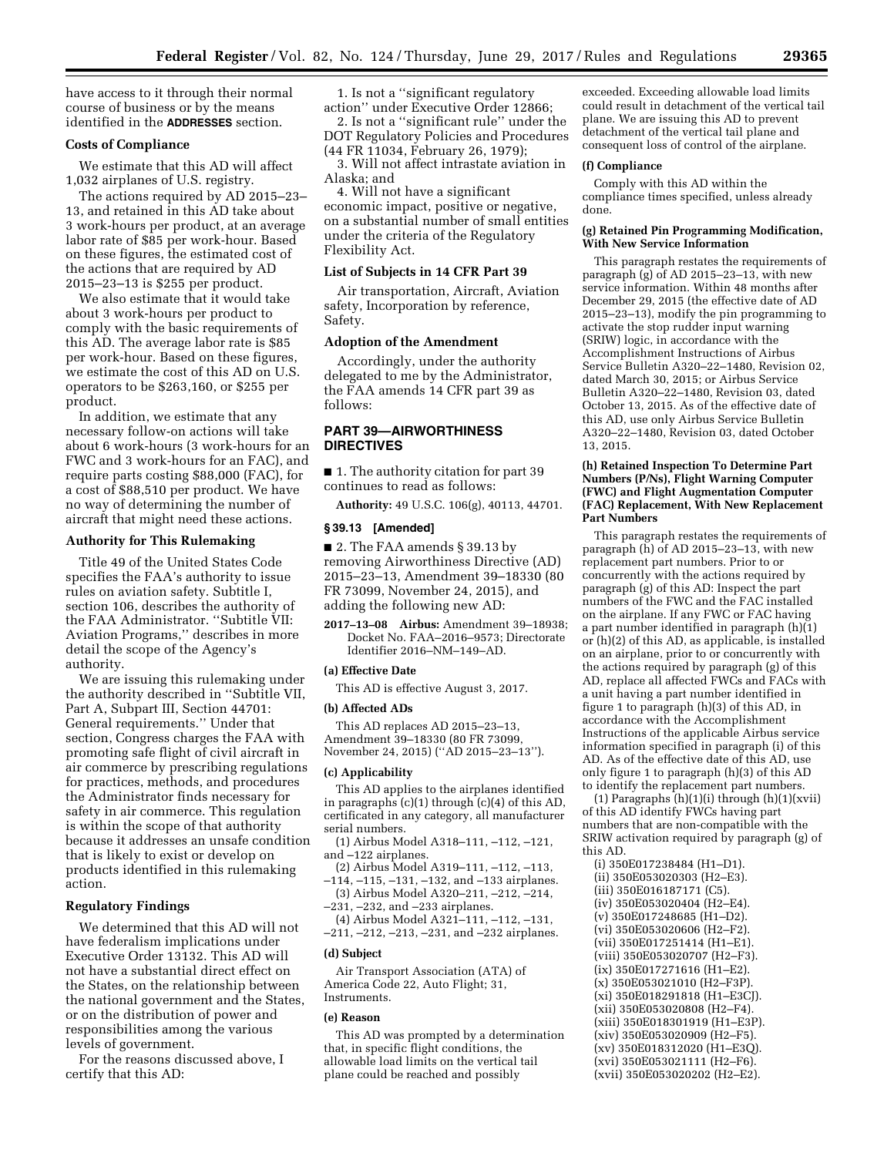have access to it through their normal course of business or by the means identified in the **ADDRESSES** section.

# **Costs of Compliance**

We estimate that this AD will affect 1,032 airplanes of U.S. registry.

The actions required by AD 2015–23– 13, and retained in this AD take about 3 work-hours per product, at an average labor rate of \$85 per work-hour. Based on these figures, the estimated cost of the actions that are required by AD 2015–23–13 is \$255 per product.

We also estimate that it would take about 3 work-hours per product to comply with the basic requirements of this AD. The average labor rate is \$85 per work-hour. Based on these figures, we estimate the cost of this AD on U.S. operators to be \$263,160, or \$255 per product.

In addition, we estimate that any necessary follow-on actions will take about 6 work-hours (3 work-hours for an FWC and 3 work-hours for an FAC), and require parts costing \$88,000 (FAC), for a cost of \$88,510 per product. We have no way of determining the number of aircraft that might need these actions.

#### **Authority for This Rulemaking**

Title 49 of the United States Code specifies the FAA's authority to issue rules on aviation safety. Subtitle I, section 106, describes the authority of the FAA Administrator. ''Subtitle VII: Aviation Programs,'' describes in more detail the scope of the Agency's authority.

We are issuing this rulemaking under the authority described in ''Subtitle VII, Part A, Subpart III, Section 44701: General requirements.'' Under that section, Congress charges the FAA with promoting safe flight of civil aircraft in air commerce by prescribing regulations for practices, methods, and procedures the Administrator finds necessary for safety in air commerce. This regulation is within the scope of that authority because it addresses an unsafe condition that is likely to exist or develop on products identified in this rulemaking action.

#### **Regulatory Findings**

We determined that this AD will not have federalism implications under Executive Order 13132. This AD will not have a substantial direct effect on the States, on the relationship between the national government and the States, or on the distribution of power and responsibilities among the various levels of government.

For the reasons discussed above, I certify that this AD:

1. Is not a ''significant regulatory action'' under Executive Order 12866;

2. Is not a ''significant rule'' under the DOT Regulatory Policies and Procedures (44 FR 11034, February 26, 1979);

3. Will not affect intrastate aviation in Alaska; and

4. Will not have a significant economic impact, positive or negative, on a substantial number of small entities under the criteria of the Regulatory Flexibility Act.

#### **List of Subjects in 14 CFR Part 39**

Air transportation, Aircraft, Aviation safety, Incorporation by reference, Safety.

# **Adoption of the Amendment**

Accordingly, under the authority delegated to me by the Administrator, the FAA amends 14 CFR part 39 as follows:

# **PART 39—AIRWORTHINESS DIRECTIVES**

■ 1. The authority citation for part 39 continues to read as follows:

**Authority:** 49 U.S.C. 106(g), 40113, 44701.

# **§ 39.13 [Amended]**

■ 2. The FAA amends § 39.13 by removing Airworthiness Directive (AD) 2015–23–13, Amendment 39–18330 (80 FR 73099, November 24, 2015), and adding the following new AD:

**2017–13–08 Airbus:** Amendment 39–18938; Docket No. FAA–2016–9573; Directorate Identifier 2016–NM–149–AD.

#### **(a) Effective Date**

This AD is effective August 3, 2017.

#### **(b) Affected ADs**

This AD replaces AD 2015–23–13, Amendment 39–18330 (80 FR 73099, November 24, 2015) (''AD 2015–23–13'').

#### **(c) Applicability**

This AD applies to the airplanes identified in paragraphs (c)(1) through (c)(4) of this AD, certificated in any category, all manufacturer serial numbers.

(1) Airbus Model A318–111, –112, –121, and –122 airplanes.

(2) Airbus Model A319–111, –112, –113, –114, –115, –131, –132, and –133 airplanes.

(3) Airbus Model A320–211, –212, –214, –231, –232, and –233 airplanes.

(4) Airbus Model A321–111, –112, –131, –211, –212, –213, –231, and –232 airplanes.

#### **(d) Subject**

Air Transport Association (ATA) of America Code 22, Auto Flight; 31, Instruments.

#### **(e) Reason**

This AD was prompted by a determination that, in specific flight conditions, the allowable load limits on the vertical tail plane could be reached and possibly

exceeded. Exceeding allowable load limits could result in detachment of the vertical tail plane. We are issuing this AD to prevent detachment of the vertical tail plane and consequent loss of control of the airplane.

# **(f) Compliance**

Comply with this AD within the compliance times specified, unless already done.

#### **(g) Retained Pin Programming Modification, With New Service Information**

This paragraph restates the requirements of paragraph (g) of AD 2015–23–13, with new service information. Within 48 months after December 29, 2015 (the effective date of AD 2015–23–13), modify the pin programming to activate the stop rudder input warning (SRIW) logic, in accordance with the Accomplishment Instructions of Airbus Service Bulletin A320–22–1480, Revision 02, dated March 30, 2015; or Airbus Service Bulletin A320–22–1480, Revision 03, dated October 13, 2015. As of the effective date of this AD, use only Airbus Service Bulletin A320–22–1480, Revision 03, dated October 13, 2015.

#### **(h) Retained Inspection To Determine Part Numbers (P/Ns), Flight Warning Computer (FWC) and Flight Augmentation Computer (FAC) Replacement, With New Replacement Part Numbers**

This paragraph restates the requirements of paragraph (h) of AD 2015–23–13, with new replacement part numbers. Prior to or concurrently with the actions required by paragraph (g) of this AD: Inspect the part numbers of the FWC and the FAC installed on the airplane. If any FWC or FAC having a part number identified in paragraph (h)(1) or (h)(2) of this AD, as applicable, is installed on an airplane, prior to or concurrently with the actions required by paragraph (g) of this AD, replace all affected FWCs and FACs with a unit having a part number identified in figure 1 to paragraph (h)(3) of this AD, in accordance with the Accomplishment Instructions of the applicable Airbus service information specified in paragraph (i) of this AD. As of the effective date of this AD, use only figure 1 to paragraph (h)(3) of this AD to identify the replacement part numbers.

(1) Paragraphs  $(h)(1)(i)$  through  $(h)(1)(xvi)$ of this AD identify FWCs having part numbers that are non-compatible with the SRIW activation required by paragraph (g) of this AD.

(i) 350E017238484 (H1–D1). (ii) 350E053020303 (H2–E3). (iii) 350E016187171 (C5). (iv) 350E053020404 (H2–E4). (v) 350E017248685 (H1–D2). (vi) 350E053020606 (H2–F2). (vii) 350E017251414 (H1–E1). (viii) 350E053020707 (H2–F3). (ix) 350E017271616 (H1–E2). (x) 350E053021010 (H2–F3P). (xi) 350E018291818 (H1–E3CJ). (xii) 350E053020808 (H2–F4). (xiii) 350E018301919 (H1–E3P). (xiv) 350E053020909 (H2–F5). (xv) 350E018312020 (H1–E3Q). (xvi) 350E053021111 (H2–F6). (xvii) 350E053020202 (H2–E2).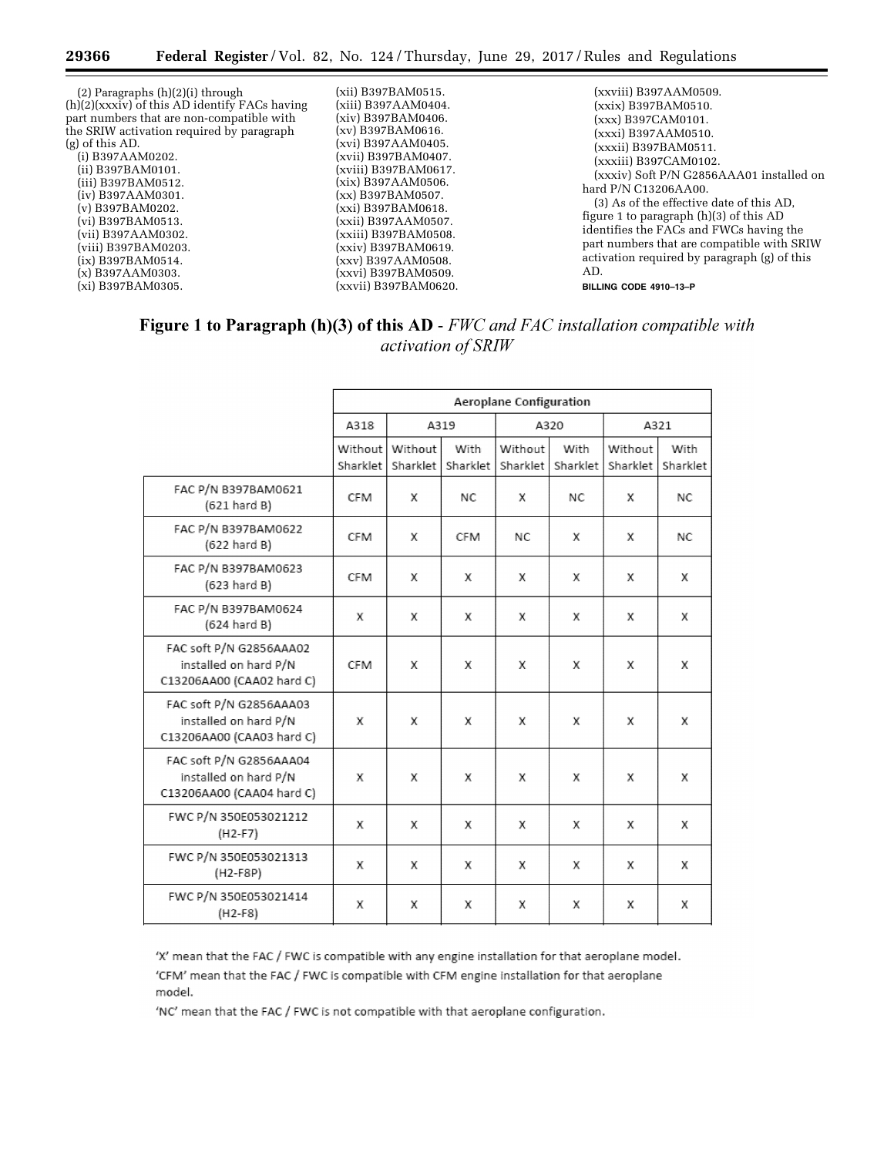| $(2)$ Paragraphs $(h)(2)(i)$ through          | (xii) B397BAM0515.   | (xxviii) B397AAM0509.                        |
|-----------------------------------------------|----------------------|----------------------------------------------|
| (h)(2)(xxxiv) of this AD identify FACs having | (xiii) B397AAM0404.  | (xxix) B397BAM0510.                          |
| part numbers that are non-compatible with     | (xiv) B397BAM0406.   | (xxx) B397CAM0101.                           |
| the SRIW activation required by paragraph     | (xv) B397BAM0616.    | (xxxi) B397AAM0510.                          |
| $(g)$ of this AD.                             | (xvi) B397AAM0405.   | (xxxii) B397BAM0511.                         |
| $(i)$ B397AAM0202.                            | (xvii) B397BAM0407.  | (xxxiii) B397CAM0102.                        |
| (ii) B397BAM0101.                             | (xviii) B397BAM0617. | (xxxiv) Soft P/N G2856AAA01 installed on     |
| (iii) B397BAM0512.                            | (xix) B397AAM0506.   | hard P/N C13206AA00.                         |
| $(iv)$ B397AAM0301.                           | (xx) B397BAM0507.    | (3) As of the effective date of this AD,     |
| $(v)$ B397BAM0202.                            | (xxi) B397BAM0618.   | figure 1 to paragraph $(h)(3)$ of this AD    |
| (vi) B397BAM0513.                             | (xxii) B397AAM0507.  | identifies the FACs and FWCs having the      |
| (vii) B397AAM0302.                            | (xxiii) B397BAM0508. |                                              |
| (viii) B397BAM0203.                           | (xxiv) B397BAM0619.  | part numbers that are compatible with SRIW   |
| $(ix)$ B397BAM0514.                           | (xxv) B397AAM0508.   | activation required by paragraph (g) of this |
| $(x)$ B397AAM0303.                            | (xxvi) B397BAM0509.  | AD.                                          |
| (xi) B397BAM0305.                             | (xxvii) B397BAM0620. | BILLING CODE 4910-13-P                       |

# Figure 1 to Paragraph (h)(3) of this AD - FWC and FAC installation compatible with activation of SRIW

|                                                                               | Aeroplane Configuration |                     |                  |                     |                  |                     |                  |  |
|-------------------------------------------------------------------------------|-------------------------|---------------------|------------------|---------------------|------------------|---------------------|------------------|--|
|                                                                               | A318                    | A319                |                  | A320                |                  | A321                |                  |  |
|                                                                               | Without<br>Sharklet     | Without<br>Sharklet | With<br>Sharklet | Without<br>Sharklet | With<br>Sharklet | Without<br>Sharklet | With<br>Sharklet |  |
| FAC P/N B397BAM0621<br>$(621 \text{ hard B})$                                 | <b>CFM</b>              | X                   | NC.              | X                   | <b>NC</b>        | x                   | NC.              |  |
| FAC P/N B397BAM0622<br>$(622 \text{ hard } B)$                                | <b>CFM</b>              | X                   | <b>CFM</b>       | <b>NC</b>           | X                | x                   | <b>NC</b>        |  |
| FAC P/N B397BAM0623<br>$(623 \text{ hard } B)$                                | <b>CFM</b>              | X                   | X                | x                   | X                | х                   | X                |  |
| FAC P/N B397BAM0624<br>$(624 \text{ hard B})$                                 | X                       | X                   | x                | X                   | x                | x                   | X                |  |
| FAC soft P/N G2856AAA02<br>installed on hard P/N<br>C13206AA00 (CAA02 hard C) | <b>CFM</b>              | X                   | X                | X                   | X                | x                   | X                |  |
| FAC soft P/N G2856AAA03<br>installed on hard P/N<br>C13206AA00 (CAA03 hard C) | X                       | X                   | X                | X                   | X                | x                   | X                |  |
| FAC soft P/N G2856AAA04<br>installed on hard P/N<br>C13206AA00 (CAA04 hard C) | X                       | X                   | X                | X                   | X                | x                   | X                |  |
| FWC P/N 350E053021212<br>$(H2-F7)$                                            | x                       | X                   | X                | x                   | X                | x                   | X                |  |
| FWC P/N 350E053021313<br>$(H2-F8P)$                                           | X                       | Х                   | x                | x                   | X                | x                   | X                |  |
| FWC P/N 350E053021414<br>$(H2-F8)$                                            | X                       | X                   | X                | х                   | X                | x                   | X                |  |

'X' mean that the FAC / FWC is compatible with any engine installation for that aeroplane model. 'CFM' mean that the FAC / FWC is compatible with CFM engine installation for that aeroplane

model.

'NC' mean that the FAC / FWC is not compatible with that aeroplane configuration.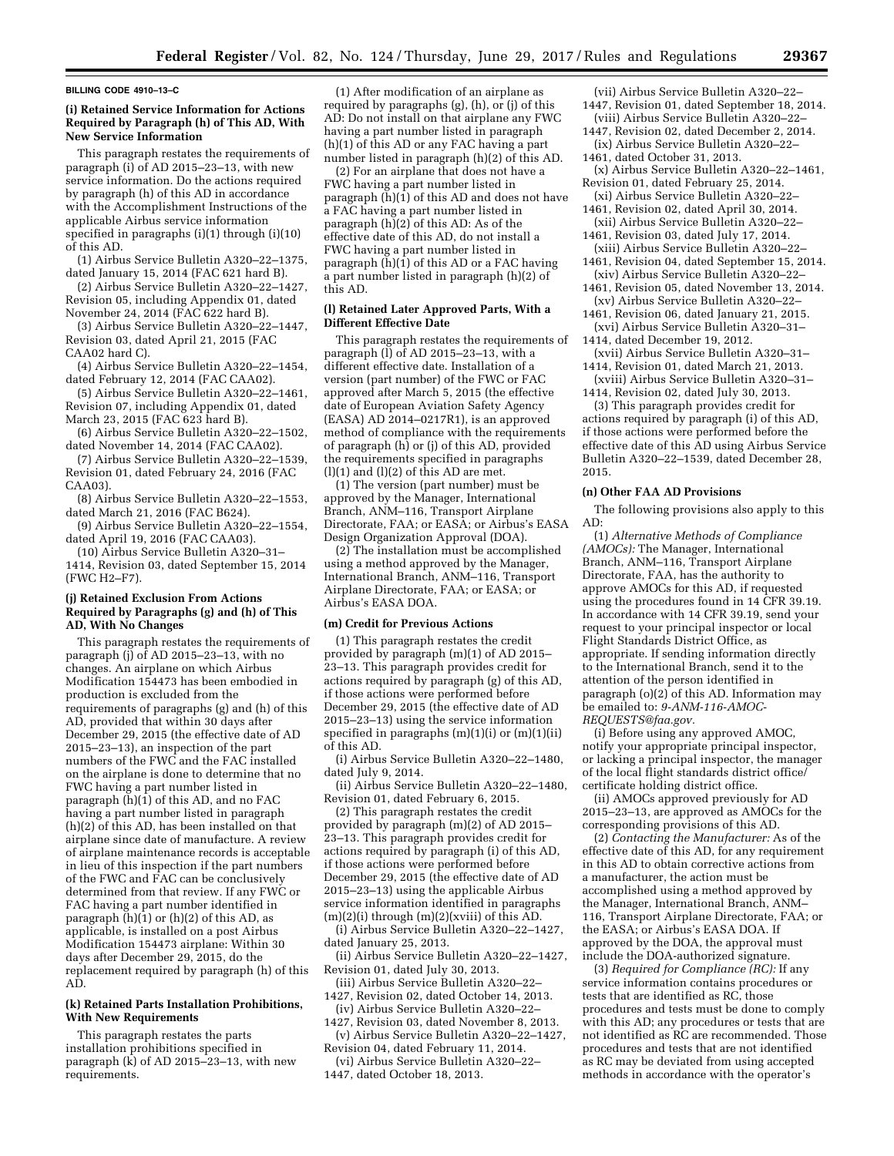#### **BILLING CODE 4910–13–C**

#### **(i) Retained Service Information for Actions Required by Paragraph (h) of This AD, With New Service Information**

This paragraph restates the requirements of paragraph (i) of AD 2015–23–13, with new service information. Do the actions required by paragraph (h) of this AD in accordance with the Accomplishment Instructions of the applicable Airbus service information specified in paragraphs (i)(1) through (i)(10) of this AD.

(1) Airbus Service Bulletin A320–22–1375, dated January 15, 2014 (FAC 621 hard B).

(2) Airbus Service Bulletin A320–22–1427, Revision 05, including Appendix 01, dated November 24, 2014 (FAC 622 hard B).

(3) Airbus Service Bulletin A320–22–1447, Revision 03, dated April 21, 2015 (FAC CAA02 hard C).

(4) Airbus Service Bulletin A320–22–1454, dated February 12, 2014 (FAC CAA02).

(5) Airbus Service Bulletin A320–22–1461, Revision 07, including Appendix 01, dated March 23, 2015 (FAC 623 hard B).

(6) Airbus Service Bulletin A320–22–1502, dated November 14, 2014 (FAC CAA02).

(7) Airbus Service Bulletin A320–22–1539, Revision 01, dated February 24, 2016 (FAC CAA03).

(8) Airbus Service Bulletin A320–22–1553, dated March 21, 2016 (FAC B624).

(9) Airbus Service Bulletin A320–22–1554, dated April 19, 2016 (FAC CAA03).

(10) Airbus Service Bulletin A320–31– 1414, Revision 03, dated September 15, 2014 (FWC H2–F7).

#### **(j) Retained Exclusion From Actions Required by Paragraphs (g) and (h) of This AD, With No Changes**

This paragraph restates the requirements of paragraph (j) of AD 2015–23–13, with no changes. An airplane on which Airbus Modification 154473 has been embodied in production is excluded from the requirements of paragraphs (g) and (h) of this AD, provided that within 30 days after December 29, 2015 (the effective date of AD 2015–23–13), an inspection of the part numbers of the FWC and the FAC installed on the airplane is done to determine that no FWC having a part number listed in paragraph (h)(1) of this AD, and no FAC having a part number listed in paragraph (h)(2) of this AD, has been installed on that airplane since date of manufacture. A review of airplane maintenance records is acceptable in lieu of this inspection if the part numbers of the FWC and FAC can be conclusively determined from that review. If any FWC or FAC having a part number identified in paragraph (h)(1) or (h)(2) of this AD, as applicable, is installed on a post Airbus Modification 154473 airplane: Within 30 days after December 29, 2015, do the replacement required by paragraph (h) of this AD.

#### **(k) Retained Parts Installation Prohibitions, With New Requirements**

This paragraph restates the parts installation prohibitions specified in paragraph (k) of AD 2015–23–13, with new requirements.

(1) After modification of an airplane as required by paragraphs (g), (h), or (j) of this AD: Do not install on that airplane any FWC having a part number listed in paragraph (h)(1) of this AD or any FAC having a part number listed in paragraph (h)(2) of this AD.

(2) For an airplane that does not have a FWC having a part number listed in paragraph  $(h)(1)$  of this AD and does not have a FAC having a part number listed in paragraph  $(h)(2)$  of this AD: As of the effective date of this AD, do not install a FWC having a part number listed in paragraph  $(h)(1)$  of this AD or a FAC having a part number listed in paragraph (h)(2) of this AD.

#### **(l) Retained Later Approved Parts, With a Different Effective Date**

This paragraph restates the requirements of paragraph (l) of AD 2015–23–13, with a different effective date. Installation of a version (part number) of the FWC or FAC approved after March 5, 2015 (the effective date of European Aviation Safety Agency (EASA) AD 2014–0217R1), is an approved method of compliance with the requirements of paragraph (h) or (j) of this AD, provided the requirements specified in paragraphs  $(l)(1)$  and  $(l)(2)$  of this AD are met.

(1) The version (part number) must be approved by the Manager, International Branch, ANM–116, Transport Airplane Directorate, FAA; or EASA; or Airbus's EASA Design Organization Approval (DOA).

(2) The installation must be accomplished using a method approved by the Manager, International Branch, ANM–116, Transport Airplane Directorate, FAA; or EASA; or Airbus's EASA DOA.

#### **(m) Credit for Previous Actions**

(1) This paragraph restates the credit provided by paragraph (m)(1) of AD 2015– 23–13. This paragraph provides credit for actions required by paragraph (g) of this AD, if those actions were performed before December 29, 2015 (the effective date of AD 2015–23–13) using the service information specified in paragraphs  $(m)(1)(i)$  or  $(m)(1)(ii)$ of this AD.

(i) Airbus Service Bulletin A320–22–1480, dated July 9, 2014.

(ii) Airbus Service Bulletin A320–22–1480, Revision 01, dated February 6, 2015.

(2) This paragraph restates the credit provided by paragraph (m)(2) of AD 2015– 23–13. This paragraph provides credit for actions required by paragraph (i) of this AD, if those actions were performed before December 29, 2015 (the effective date of AD 2015–23–13) using the applicable Airbus service information identified in paragraphs  $(m)(2)(i)$  through  $(m)(2)(xviii)$  of this AD.

(i) Airbus Service Bulletin A320–22–1427, dated January 25, 2013.

(ii) Airbus Service Bulletin A320–22–1427, Revision 01, dated July 30, 2013.

(iii) Airbus Service Bulletin A320–22– 1427, Revision 02, dated October 14, 2013.

- (iv) Airbus Service Bulletin A320–22– 1427, Revision 03, dated November 8, 2013.
- (v) Airbus Service Bulletin A320–22–1427, Revision 04, dated February 11, 2014.
- (vi) Airbus Service Bulletin A320–22– 1447, dated October 18, 2013.
- (vii) Airbus Service Bulletin A320–22– 1447, Revision 01, dated September 18, 2014. (viii) Airbus Service Bulletin A320–22–
- 1447, Revision 02, dated December 2, 2014.
- (ix) Airbus Service Bulletin A320–22– 1461, dated October 31, 2013.
- (x) Airbus Service Bulletin A320–22–1461, Revision 01, dated February 25, 2014.
- (xi) Airbus Service Bulletin A320–22–
- 1461, Revision 02, dated April 30, 2014. (xii) Airbus Service Bulletin A320–22–
- 1461, Revision 03, dated July 17, 2014. (xiii) Airbus Service Bulletin A320–22–
- 1461, Revision 04, dated September 15, 2014. (xiv) Airbus Service Bulletin A320–22–
- 1461, Revision 05, dated November 13, 2014. (xv) Airbus Service Bulletin A320–22–
- 1461, Revision 06, dated January 21, 2015.
- (xvi) Airbus Service Bulletin A320–31– 1414, dated December 19, 2012.
- (xvii) Airbus Service Bulletin A320–31– 1414, Revision 01, dated March 21, 2013.
- (xviii) Airbus Service Bulletin A320–31– 1414, Revision 02, dated July 30, 2013.

(3) This paragraph provides credit for actions required by paragraph (i) of this AD, if those actions were performed before the effective date of this AD using Airbus Service Bulletin A320–22–1539, dated December 28, 2015.

#### **(n) Other FAA AD Provisions**

The following provisions also apply to this AD:

(1) *Alternative Methods of Compliance (AMOCs):* The Manager, International Branch, ANM–116, Transport Airplane Directorate, FAA, has the authority to approve AMOCs for this AD, if requested using the procedures found in 14 CFR 39.19. In accordance with 14 CFR 39.19, send your request to your principal inspector or local Flight Standards District Office, as appropriate. If sending information directly to the International Branch, send it to the attention of the person identified in paragraph (o)(2) of this AD. Information may be emailed to: *[9-ANM-116-AMOC-](mailto:9-ANM-116-AMOC-REQUESTS@faa.gov)[REQUESTS@faa.gov.](mailto:9-ANM-116-AMOC-REQUESTS@faa.gov)* 

(i) Before using any approved AMOC, notify your appropriate principal inspector, or lacking a principal inspector, the manager of the local flight standards district office/ certificate holding district office.

(ii) AMOCs approved previously for AD 2015–23–13, are approved as AMOCs for the corresponding provisions of this AD.

(2) *Contacting the Manufacturer:* As of the effective date of this AD, for any requirement in this AD to obtain corrective actions from a manufacturer, the action must be accomplished using a method approved by the Manager, International Branch, ANM– 116, Transport Airplane Directorate, FAA; or the EASA; or Airbus's EASA DOA. If approved by the DOA, the approval must include the DOA-authorized signature.

(3) *Required for Compliance (RC):* If any service information contains procedures or tests that are identified as RC, those procedures and tests must be done to comply with this AD; any procedures or tests that are not identified as RC are recommended. Those procedures and tests that are not identified as RC may be deviated from using accepted methods in accordance with the operator's